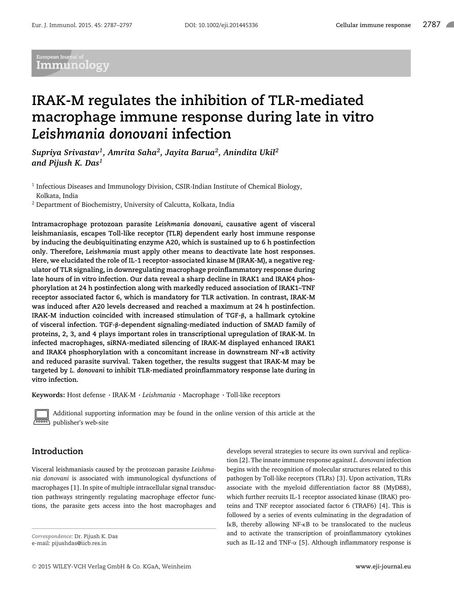# .<br>European Journal c Immunology

# **IRAK-M regulates the inhibition of TLR-mediated macrophage immune response during late in vitro** *Leishmania donovani* **infection**

*Supriya Srivastav<sup>1</sup> , Amrita Saha<sup>2</sup> , Jayita Barua<sup>2</sup> , Anindita Ukil<sup>2</sup> and Pijush K. Das<sup>1</sup>*

<sup>1</sup> Infectious Diseases and Immunology Division, CSIR-Indian Institute of Chemical Biology, Kolkata, India

 $2$  Department of Biochemistry, University of Calcutta, Kolkata, India

**Intramacrophage protozoan parasite** *Leishmania donovani***, causative agent of visceral leishmaniasis, escapes Toll-like receptor (TLR) dependent early host immune response by inducing the deubiquitinating enzyme A20, which is sustained up to 6 h postinfection only. Therefore,** *Leishmania* **must apply other means to deactivate late host responses. Here, we elucidated the role of IL-1 receptor-associated kinase M (IRAK-M), a negative regulator of TLR signaling, in downregulating macrophage proinflammatory response during late hours of in vitro infection. Our data reveal a sharp decline in IRAK1 and IRAK4 phosphorylation at 24 h postinfection along with markedly reduced association of IRAK1–TNF receptor associated factor 6, which is mandatory for TLR activation. In contrast, IRAK-M was induced after A20 levels decreased and reached a maximum at 24 h postinfection. IRAK-M induction coincided with increased stimulation of TGF-**β**, a hallmark cytokine of visceral infection. TGF-**β**-dependent signaling-mediated induction of SMAD family of proteins, 2, 3, and 4 plays important roles in transcriptional upregulation of IRAK-M. In infected macrophages, siRNA-mediated silencing of IRAK-M displayed enhanced IRAK1 and IRAK4 phosphorylation with a concomitant increase in downstream NF-**κ**B activity and reduced parasite survival. Taken together, the results suggest that IRAK-M may be targeted by** *L. donovani* **to inhibit TLR-mediated proinflammatory response late during in vitro infection.**

**Keywords:** Host defense - IRAK-M - *Leishmania* - Macrophage - Toll-like receptors



Additional supporting information may be found in the online version of this article at the publisher's web-site

# **Introduction**

Visceral leishmaniasis caused by the protozoan parasite *Leishmania donovani* is associated with immunological dysfunctions of macrophages [1]. In spite of multiple intracellular signal transduction pathways stringently regulating macrophage effector functions, the parasite gets access into the host macrophages and

*Correspondence:* Dr. Pijush K. Das e-mail: pijushdas@iicb.res.in

develops several strategies to secure its own survival and replication [2]. The innate immune response against *L. donovani* infection begins with the recognition of molecular structures related to this pathogen by Toll-like receptors (TLRs) [3]. Upon activation, TLRs associate with the myeloid differentiation factor 88 (MyD88), which further recruits IL-1 receptor associated kinase (IRAK) proteins and TNF receptor associated factor 6 (TRAF6) [4]. This is followed by a series of events culminating in the degradation of IκB, thereby allowing NF-κB to be translocated to the nucleus and to activate the transcription of proinflammatory cytokines such as IL-12 and TNF-α [5]. Although inflammatory response is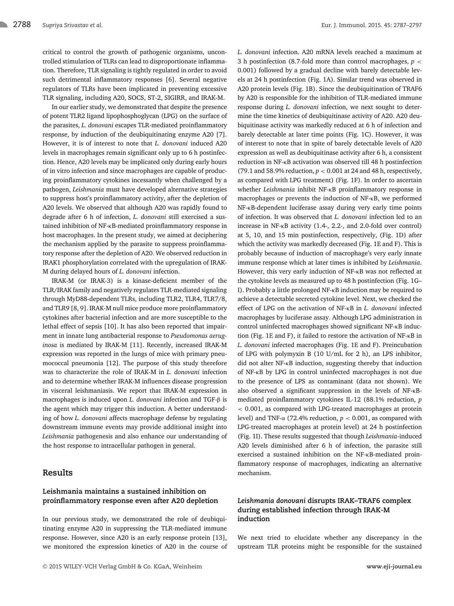critical to control the growth of pathogenic organisms, uncontrolled stimulation of TLRs can lead to disproportionate inflammation. Therefore, TLR signaling is tightly regulated in order to avoid such detrimental inflammatory responses [6]. Several negative regulators of TLRs have been implicated in preventing excessive TLR signaling, including A20, SOCS, ST-2, SIGIRR, and IRAK-M.

In our earlier study, we demonstrated that despite the presence of potent TLR2 ligand lipophosphoglycan (LPG) on the surface of the parasites, *L. donovani* escapes TLR-mediated proinflammatory response, by induction of the deubiquitinating enzyme A20 [7]. However, it is of interest to note that *L. donovani* induced A20 levels in macrophages remain significant only up to 6 h postinfection. Hence, A20 levels may be implicated only during early hours of in vitro infection and since macrophages are capable of producing proinflammatory cytokines incessantly when challenged by a pathogen, *Leishmania* must have developed alternative strategies to suppress host's proinflammatory activity, after the depletion of A20 levels. We observed that although A20 was rapidly found to degrade after 6 h of infection, *L. donovani* still exercised a sustained inhibition of NF-κB-mediated proinflammatory response in host macrophages. In the present study, we aimed at deciphering the mechanism applied by the parasite to suppress proinflammatory response after the depletion of A20. We observed reduction in IRAK1 phosphorylation correlated with the upregulation of IRAK-M during delayed hours of *L. donovani* infection.

IRAK-M (or IRAK-3) is a kinase-deficient member of the TLR/IRAK family and negatively regulates TLR-mediated signaling through MyD88-dependent TLRs, including TLR2, TLR4, TLR7/8, and TLR9 [8, 9]. IRAK-M null mice produce more proinflammatory cytokines after bacterial infection and are more susceptible to the lethal effect of sepsis [10]. It has also been reported that impairment in innate lung antibacterial response to *Pseudomonas aeruginosa* is mediated by IRAK-M [11]. Recently, increased IRAK-M expression was reported in the lungs of mice with primary pneumococcal pneumonia [12]. The purpose of this study therefore was to characterize the role of IRAK-M in *L. donovani* infection and to determine whether IRAK-M influences disease progression in visceral leishmaniasis. We report that IRAK-M expression in macrophages is induced upon *L. donovani* infection and TGF-β is the agent which may trigger this induction. A better understanding of how *L. donovani* affects macrophage defense by regulating downstream immune events may provide additional insight into *Leishmania* pathogenesis and also enhance our understanding of the host response to intracellular pathogen in general.

# **Results**

## **Leishmania maintains a sustained inhibition on proinflammatory response even after A20 depletion**

In our previous study, we demonstrated the role of deubiquitinating enzyme A20 in suppressing the TLR-mediated immune response. However, since A20 is an early response protein [13], we monitored the expression kinetics of A20 in the course of *L. donovani* infection. A20 mRNA levels reached a maximum at 3 h postinfection (8.7-fold more than control macrophages, *p* < 0.001) followed by a gradual decline with barely detectable levels at 24 h postinfection (Fig. 1A). Similar trend was observed in A20 protein levels (Fig. 1B). Since the deubiquitination of TRAF6 by A20 is responsible for the inhibition of TLR-mediated immune response during *L. donovani* infection, we next sought to determine the time kinetics of deubiquitinase activity of A20. A20 deubiquitinase activity was markedly reduced at 6 h of infection and barely detectable at later time points (Fig. 1C). However, it was of interest to note that in spite of barely detectable levels of A20 expression as well as deubiquitinase activity after 6 h, a consistent reduction in NF-κB activation was observed till 48 h postinfection (79.1 and 58.9% reduction,  $p < 0.001$  at 24 and 48 h, respectively, as compared with LPG treatment) (Fig. 1F). In order to ascertain whether *Leishmania* inhibit NF-κB proinflammatory response in macrophages or prevents the induction of NF-κB, we performed NF-κB-dependent luciferase assay during very early time points of infection. It was observed that *L. donovani* infection led to an increase in NF-κB activity (1.4-, 2.2-, and 2.0-fold over control) at 5, 10, and 15 min postinfection, respectively, (Fig. 1D) after which the activity was markedly decreased (Fig. 1E and F). This is probably because of induction of macrophage's very early innate immune response which at later times is inhibited by *Leishmania*. However, this very early induction of NF-κB was not reflected at the cytokine levels as measured up to 48 h postinfection (Fig. 1G– I). Probably a little prolonged NF-κB induction may be required to achieve a detectable secreted cytokine level. Next, we checked the effect of LPG on the activation of NF-κB in *L. donovani* infected macrophages by luciferase assay. Although LPG administration in control uninfected macrophages showed significant NF-κB induction (Fig. 1E and F), it failed to restore the activation of NF-κB in *L. donovani* infected macrophages (Fig. 1E and F). Preincubation of LPG with polymyxin B (10 U/mL for 2 h), an LPS inhibitor, did not alter NF-κB induction, suggesting thereby that induction of NF-κB by LPG in control uninfected macrophages is not due to the presence of LPS as contaminant (data not shown). We also observed a significant suppression in the levels of NF-κBmediated proinflammatory cytokines IL-12 (88.1% reduction, *p* < 0.001, as compared with LPG-treated macrophages at protein level) and TNF-α (72.4% reduction, *p* < 0.001, as compared with LPG-treated macrophages at protein level) at 24 h postinfection (Fig. 1I). These results suggested that though *Leishmania*-induced A20 levels diminished after 6 h of infection, the parasite still exercised a sustained inhibition on the NF-κB-mediated proinflammatory response of macrophages, indicating an alternative mechanism.

# *Leishmania donovani* **disrupts IRAK–TRAF6 complex during established infection through IRAK-M induction**

We next tried to elucidate whether any discrepancy in the upstream TLR proteins might be responsible for the sustained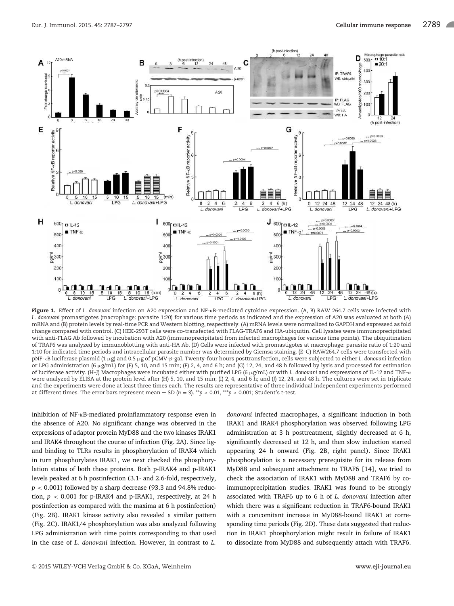

Figure 1. Effect of *L. donovani* infection on A20 expression and NF-κB-mediated cytokine expression. (A, B) RAW 264.7 cells were infected with *L. donovani* promastigotes (macrophage: parasite 1:20) for various time periods as indicated and the expression of A20 was evaluated at both (A) mRNA and (B) protein levels by real-time PCR and Western blotting, respectively. (A) mRNA levels were normalized to GAPDH and expressed as fold change compared with control. (C) HEK-293T cells were co-transfected with FLAG-TRAF6 and HA-ubiquitin. Cell lysates were immunoprecipitated with anti-FLAG Ab followed by incubation with A20 (immunoprecipitated from infected macrophages for various time points). The ubiquitination of TRAF6 was analyzed by immunoblotting with anti-HA Ab. (D) Cells were infected with promastigotes at macrophage: parasite ratio of 1:20 and 1:10 for indicated time periods and intracellular parasite number was determined by Giemsa staining. (E–G) RAW264.7 cells were transfected with pNF-κB luciferase plasmid (1 µg) and 0.5 µg of pCMV-β-gal. Twenty-four hours posttransfection, cells were subjected to either *L. donovan*i infection or LPG administration (6  $\mu$ g/mL) for (E) 5, 10, and 15 min; (F) 2, 4, and 6 h; and (G) 12, 24, and 48 h followed by lysis and processed for estimation of luciferase activity. (H–J) Macrophages were incubated either with purified LPG (6 µg/mL) or with *L. donovani* and expressions of IL-12 and TNF-α were analyzed by ELISA at the protein level after (H) 5, 10, and 15 min; (I) 2, 4, and 6 h; and (J) 12, 24, and 48 h. The cultures were set in triplicate and the experiments were done at least three times each. The results are representative of three individual independent experiments performed at different times. The error bars represent mean  $\pm$  SD ( $n = 3$ ). \*\*p < 0.01, \*\*\*p < 0.001; Student's t-test.

inhibition of NF-κB-mediated proinflammatory response even in the absence of A20. No significant change was observed in the expressions of adaptor protein MyD88 and the two kinases IRAK1 and IRAK4 throughout the course of infection (Fig. 2A). Since ligand binding to TLRs results in phosphorylation of IRAK4 which in turn phosphorylates IRAK1, we next checked the phosphorylation status of both these proteins. Both p-IRAK4 and p-IRAK1 levels peaked at 6 h postinfection (3.1- and 2.6-fold, respectively,  $p < 0.001$ ) followed by a sharp decrease (93.3 and 94.8% reduction, *p* < 0.001 for p-IRAK4 and p-IRAK1, respectively, at 24 h postinfection as compared with the maxima at 6 h postinfection) (Fig. 2B). IRAK1 kinase activity also revealed a similar pattern (Fig. 2C). IRAK1/4 phosphorylation was also analyzed following LPG administration with time points corresponding to that used in the case of *L. donovani* infection. However, in contrast to *L.*

*donovani* infected macrophages, a significant induction in both IRAK1 and IRAK4 phosphorylation was observed following LPG administration at 3 h posttreatment, slightly decreased at 6 h, significantly decreased at 12 h, and then slow induction started appearing 24 h onward (Fig. 2B, right panel). Since IRAK1 phosphorylation is a necessary prerequisite for its release from MyD88 and subsequent attachment to TRAF6 [14], we tried to check the association of IRAK1 with MyD88 and TRAF6 by coimmunoprecipitation studies. IRAK1 was found to be strongly associated with TRAF6 up to 6 h of *L. donovani* infection after which there was a significant reduction in TRAF6-bound IRAK1 with a concomitant increase in MyD88-bound IRAK1 at corresponding time periods (Fig. 2D). These data suggested that reduction in IRAK1 phosphorylation might result in failure of IRAK1 to dissociate from MyD88 and subsequently attach with TRAF6.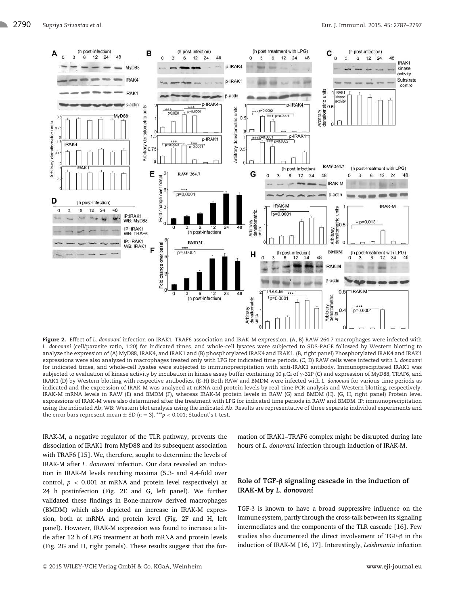

Figure 2. Effect of *L. donovani* infection on IRAK1–TRAF6 association and IRAK-M expression. (A, B) RAW 264.7 macrophages were infected with *L. donovani* (cell/parasite ratio, 1:20) for indicated times, and whole-cell lysates were subjected to SDS-PAGE followed by Western blotting to analyze the expression of (A) MyD88, IRAK4, and IRAK1 and (B) phosphorylated IRAK4 and IRAK1. (B, right panel) Phosphorylated IRAK4 and IRAK1 expressions were also analyzed in macrophages treated only with LPG for indicated time periods. (C, D) RAW cells were infected with *L. donovani* for indicated times, and whole-cell lysates were subjected to immunoprecipitation with anti-IRAK1 antibody. Immunoprecipitated IRAK1 was subjected to evaluation of kinase activity by incubation in kinase assay buffer containing 10 µCi of  $\gamma$ -32P (C) and expression of MyD88, TRAF6, and IRAK1 (D) by Western blotting with respective antibodies. (E–H) Both RAW and BMDM were infected with *L. donovani* for various time periods as indicated and the expression of IRAK-M was analyzed at mRNA and protein levels by real-time PCR analysis and Western blotting, respectively. IRAK-M mRNA levels in RAW (E) and BMDM (F), whereas IRAK-M protein levels in RAW (G) and BMDM (H). (G, H, right panel) Protein level expressions of IRAK-M were also determined after the treatment with LPG for indicated time periods in RAW and BMDM. IP: immunoprecipitation using the indicated Ab; WB: Western blot analysis using the indicated Ab. Results are representative of three separate individual experiments and the error bars represent mean  $\pm$  SD ( $n = 3$ ). \*\*\* $p < 0.001$ ; Student's t-test.

IRAK-M, a negative regulator of the TLR pathway, prevents the dissociation of IRAK1 from MyD88 and its subsequent association with TRAF6 [15]. We, therefore, sought to determine the levels of IRAK-M after *L. donovani* infection. Our data revealed an induction in IRAK-M levels reaching maxima (5.3- and 4.4-fold over control,  $p < 0.001$  at mRNA and protein level respectively) at 24 h postinfection (Fig. 2E and G, left panel). We further validated these findings in Bone-marrow derived macrophages (BMDM) which also depicted an increase in IRAK-M expression, both at mRNA and protein level (Fig. 2F and H, left panel). However, IRAK-M expression was found to increase a little after 12 h of LPG treatment at both mRNA and protein levels (Fig. 2G and H, right panels). These results suggest that the formation of IRAK1–TRAF6 complex might be disrupted during late hours of *L. donovani* infection through induction of IRAK-M.

# **Role of TGF-**β **signaling cascade in the induction of IRAK-M by** *L. donovani*

TGF-β is known to have a broad suppressive influence on the immune system, partly through the cross-talk between its signaling intermediates and the components of the TLR cascade [16]. Few studies also documented the direct involvement of TGF-β in the induction of IRAK-M [16, 17]. Interestingly, *Leishmania* infection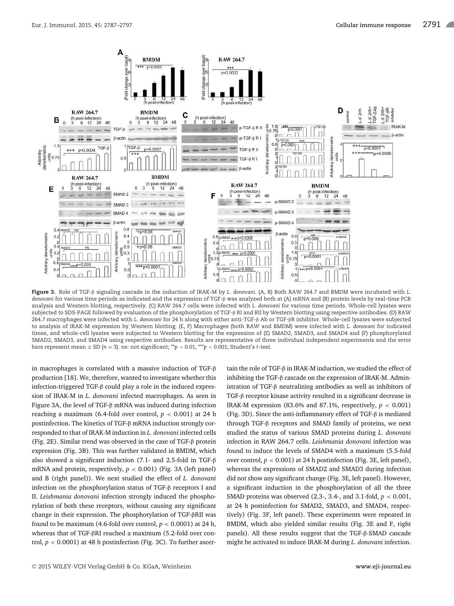

Figure 3. Role of TGF-β signaling cascade in the induction of IRAK-M by *L. donovani*. (A, B) Both RAW 264.7 and BMDM were incubated with *L. donovani* for various time periods as indicated and the expression of TGF-β was analyzed both at (A) mRNA and (B) protein levels by real-time PCR analysis and Western blotting, respectively. (C) RAW 264.7 cells were infected with *L. donovani* for various time periods. Whole-cell lysates were subjected to SDS-PAGE followed by evaluation of the phosphorylation of TGF-β RI and RII by Western blotting using respective antibodies. (D) RAW 264.7 macrophages were infected with *L. donovani* for 24 h along with either anti-TGF-β Ab or TGF-βR inhibitor. Whole-cell lysates were subjected to analysis of IRAK-M expression by Western blotting. (E, F) Macrophages (both RAW and BMDM) were infected with *L. donovani* for indicated times, and whole-cell lysates were subjected to Western blotting for the expression of (E) SMAD2, SMAD3, and SMAD4 and (F) phosphorylated SMAD2, SMAD3, and SMAD4 using respective antibodies. Results are representative of three individual independent experiments and the error bars represent mean  $\pm$  SD ( $n = 3$ ). ns: not significant; \*\* $p < 0.01$ , \*\*\* $p < 0.001$ ; Student's t-test.

in macrophages is correlated with a massive induction of TGF-β production [18]. We, therefore, wanted to investigate whether this infection-triggered TGF-β could play a role in the induced expression of IRAK-M in *L. donovani* infected macrophages. As seen in Figure 3A, the level of TGF-β mRNA was induced during infection reaching a maximum (6.4-fold over control,  $p < 0.001$ ) at 24 h postinfection. The kinetics of TGF-β mRNA induction strongly corresponded to that of IRAK-M induction in *L. donovani* infected cells (Fig. 2E). Similar trend was observed in the case of TGF-β protein expression (Fig. 3B). This was further validated in BMDM, which also showed a significant induction (7.1- and 2.5-fold in TGF-β mRNA and protein, respectively,  $p < 0.001$ ) (Fig. 3A (left panel) and B (right panel)). We next studied the effect of *L. donovani* infection on the phosphorylation status of TGF-β receptors I and II. *Leishmania donovani* infection strongly induced the phosphorylation of both these receptors, without causing any significant change in their expression. The phosphorylation of TGF-βRII was found to be maximum (4.6-fold over control,  $p < 0.0001$ ) at 24 h, whereas that of TGF-βRI reached a maximum (5.2-fold over control,  $p < 0.0001$ ) at 48 h postinfection (Fig. 3C). To further ascertain the role of TGF-β in IRAK-M induction, we studied the effect of inhibiting the TGF-β cascade on the expression of IRAK-M. Administration of TGF-β neutralizing antibodies as well as inhibitors of TGF-β receptor kinase activity resulted in a significant decrease in IRAK-M expression (83.6% and 87.1%, respectively,  $p < 0.001$ ) (Fig. 3D). Since the anti-inflammatory effect of TGF-β is mediated through TGF-β receptors and SMAD family of proteins, we next studied the status of various SMAD proteins during *L. donovani* infection in RAW 264.7 cells. *Leishmania donovani* infection was found to induce the levels of SMAD4 with a maximum (5.5-fold over control,  $p < 0.001$ ) at 24 h postinfection (Fig. 3E, left panel), whereas the expressions of SMAD2 and SMAD3 during infection did not show any significant change (Fig. 3E, left panel). However, a significant induction in the phosphorylation of all the three SMAD proteins was observed (2.3-, 3.4-, and 3.1-fold, *p* < 0.001, at 24 h postinfection for SMAD2, SMAD3, and SMAD4, respectively) (Fig. 3F, left panel). These experiments were repeated in BMDM, which also yielded similar results (Fig. 3E and F, right panels). All these results suggest that the TGF-β-SMAD cascade might be activated to induce IRAK-M during *L. donovani* infection.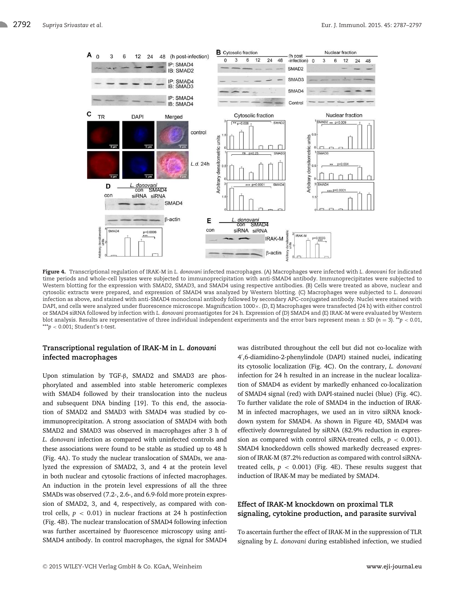

Figure 4. Transcriptional regulation of IRAK-M in *L. donovani* infected macrophages. (A) Macrophages were infected with *L. donovani* for indicated time periods and whole-cell lysates were subjected to immunoprecipitation with anti-SMAD4 antibody. Immunoprecipitates were subjected to Western blotting for the expression with SMAD2, SMAD3, and SMAD4 using respective antibodies. (B) Cells were treated as above, nuclear and cytosolic extracts were prepared, and expression of SMAD4 was analyzed by Western blotting. (C) Macrophages were subjected to *L. donovani* infection as above, and stained with anti-SMAD4 monoclonal antibody followed by secondary APC-conjugated antibody. Nuclei were stained with DAPI, and cells were analyzed under fluorescence microscope. Magnification 1000×. (D, E) Macrophages were transfected (24 h) with either control or SMAD4 siRNA followed by infection with *L. donovani* promastigotes for 24 h. Expression of (D) SMAD4 and (E) IRAK-M were evaluated by Western blot analysis. Results are representative of three individual independent experiments and the error bars represent mean  $\pm$  SD ( $n = 3$ ). \*\* $p < 0.01$ , \*\*\**p* < 0.001; Student's *t*-test.

## **Transcriptional regulation of IRAK-M in** *L. donovani* **infected macrophages**

Upon stimulation by TGF-β, SMAD2 and SMAD3 are phosphorylated and assembled into stable heteromeric complexes with SMAD4 followed by their translocation into the nucleus and subsequent DNA binding [19]. To this end, the association of SMAD2 and SMAD3 with SMAD4 was studied by coimmunoprecipitation. A strong association of SMAD4 with both SMAD2 and SMAD3 was observed in macrophages after 3 h of *L. donovani* infection as compared with uninfected controls and these associations were found to be stable as studied up to 48 h (Fig. 4A). To study the nuclear translocation of SMADs, we analyzed the expression of SMAD2, 3, and 4 at the protein level in both nuclear and cytosolic fractions of infected macrophages. An induction in the protein level expressions of all the three SMADs was observed (7.2-, 2.6-, and 6.9-fold more protein expression of SMAD2, 3, and 4, respectively, as compared with control cells,  $p < 0.01$ ) in nuclear fractions at 24 h postinfection (Fig. 4B). The nuclear translocation of SMAD4 following infection was further ascertained by fluorescence microscopy using anti-SMAD4 antibody. In control macrophages, the signal for SMAD4 was distributed throughout the cell but did not co-localize with 4 ′ ,6-diamidino-2-phenylindole (DAPI) stained nuclei, indicating its cytosolic localization (Fig. 4C). On the contrary, *L. donovani* infection for 24 h resulted in an increase in the nuclear localization of SMAD4 as evident by markedly enhanced co-localization of SMAD4 signal (red) with DAPI-stained nuclei (blue) (Fig. 4C). To further validate the role of SMAD4 in the induction of IRAK-M in infected macrophages, we used an in vitro siRNA knockdown system for SMAD4. As shown in Figure 4D, SMAD4 was effectively downregulated by siRNA (82.9% reduction in expression as compared with control siRNA-treated cells,  $p < 0.001$ ). SMAD4 knockeddown cells showed markedly decreased expression of IRAK-M (87.2% reduction as compared with control siRNAtreated cells,  $p < 0.001$ ) (Fig. 4E). These results suggest that induction of IRAK-M may be mediated by SMAD4.

# **Effect of IRAK-M knockdown on proximal TLR signaling, cytokine production, and parasite survival**

To ascertain further the effect of IRAK-M in the suppression of TLR signaling by *L. donovani* during established infection, we studied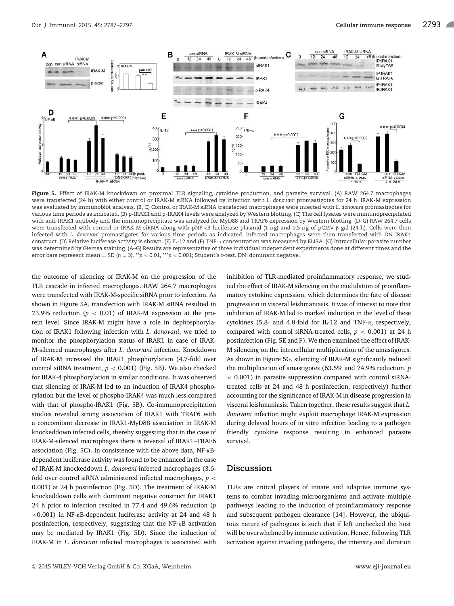

Figure 5. Effect of IRAK-M knockdown on proximal TLR signaling, cytokine production, and parasite survival. (A) RAW 264.7 macrophages were transfected (24 h) with either control or IRAK-M siRNA followed by infection with *L. donovani* promastigotes for 24 h. IRAK-M expression was evaluated by immunoblot analysis. (B, C) Control or IRAK-M siRNA transfected macrophages were infected with *L. donovani* promastigotes for various time periods as indicated. (B) p-IRAK1 and p-IRAK4 levels were analyzed by Western blotting. (C) The cell lysates were immunoprecipitated with anti-IRAK1 antibody and the immunoprecipitate was analyzed for MyD88 and TRAF6 expression by Western blotting. (D–G) RAW 264.7 cells were transfected with control or IRAK-M siRNA along with pNF-κB-luciferase plasmid (1 μg) and 0.5 μg of pCMV-β-gal (24 h). Cells were then infected with *L. donovani* promastigotes for various time periods as indicated. Infected macrophages were then transfected with DN IRAK1 construct. (D) Relative luciferase activity is shown. (E) IL-12 and (F) TNF-α concentration was measured by ELISA. (G) Intracellular parasite number was determined by Giemsa staining. (A–G) Results are representative of three individual independent experiments done at different times and the error bars represent mean ± SD (*n* = 3). \*\**p* < 0.01, \*\*\**p* < 0.001; Student's *t*-test. DN: dominant negative.

the outcome of silencing of IRAK-M on the progression of the TLR cascade in infected macrophages. RAW 264.7 macrophages were transfected with IRAK-M-specific siRNA prior to infection. As shown in Figure 5A, transfection with IRAK-M siRNA resulted in 73.9% reduction  $(p < 0.01)$  of IRAK-M expression at the protein level. Since IRAK-M might have a role in dephosphorylation of IRAK1 following infection with *L. donovani*, we tried to monitor the phosphorylation status of IRAK1 in case of IRAK-M-silenced macrophages after *L. donovani* infection. Knockdown of IRAK-M increased the IRAK1 phosphorylation (4.7-fold over control siRNA treatment, *p* < 0.001) (Fig. 5B). We also checked for IRAK-4 phosphorylation in similar conditions. It was observed that silencing of IRAK-M led to an induction of IRAK4 phosphorylation but the level of phospho-IRAK4 was much less compared with that of phospho-IRAK1 (Fig. 5B). Co-immunoprecipitation studies revealed strong association of IRAK1 with TRAF6 with a concomitant decrease in IRAK1-MyD88 association in IRAK-M knockeddown infected cells, thereby suggesting that in the case of IRAK-M-silenced macrophages there is reversal of IRAK1–TRAF6 association (Fig. 5C). In consistence with the above data, NF-κBdependent luciferase activity was found to be enhanced in the case of IRAK-M knockeddown *L. donovani* infected macrophages (3.6 fold over control siRNA administered infected macrophages, *p* < 0.001) at 24 h postinfection (Fig. 5D). The treatment of IRAK-M knockeddown cells with dominant negative construct for IRAK1 24 h prior to infection resulted in 77.4 and 49.6% reduction (*p* <0.001) in NF-κB-dependent luciferase activity at 24 and 48 h postinfection, respectively, suggesting that the NF-κB activation may be mediated by IRAK1 (Fig. 5D). Since the induction of IRAK-M in *L. donovani* infected macrophages is associated with

ied the effect of IRAK-M silencing on the modulation of proinflammatory cytokine expression, which determines the fate of disease progression in visceral leishmaniasis. It was of interest to note that inhibition of IRAK-M led to marked induction in the level of these cytokines (5.8- and 4.8-fold for IL-12 and TNF-α, respectively, compared with control siRNA-treated cells, *p* < 0.001) at 24 h postinfection (Fig. 5E and F). We then examined the effect of IRAK-M silencing on the intracellular multiplication of the amastigotes. As shown in Figure 5G, silencing of IRAK-M significantly reduced the multiplication of amastigotes (63.5% and 74.9% reduction, *p* < 0.001) in parasite suppression compared with control siRNAtreated cells at 24 and 48 h postinfection, respectively) further accounting for the significance of IRAK-M in disease progression in visceral leishmaniasis. Taken together, these results suggest that *L. donovani* infection might exploit macrophage IRAK-M expression during delayed hours of in vitro infection leading to a pathogen friendly cytokine response resulting in enhanced parasite survival.

inhibition of TLR-mediated proinflammatory response, we stud-

## **Discussion**

TLRs are critical players of innate and adaptive immune systems to combat invading microorganisms and activate multiple pathways leading to the induction of proinflammatory response and subsequent pathogen clearance [14]. However, the ubiquitous nature of pathogens is such that if left unchecked the host will be overwhelmed by immune activation. Hence, following TLR activation against invading pathogens, the intensity and duration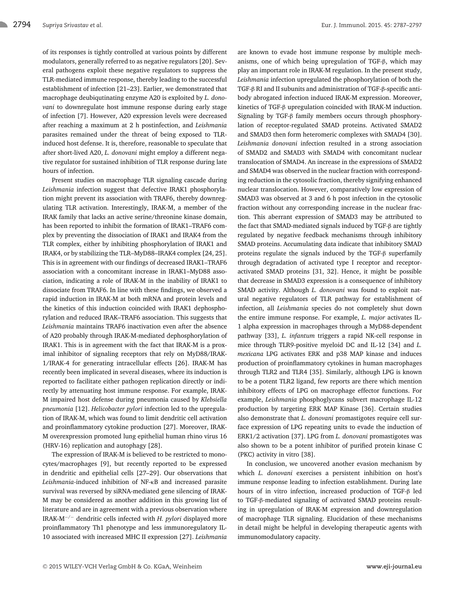of its responses is tightly controlled at various points by different modulators, generally referred to as negative regulators [20]. Several pathogens exploit these negative regulators to suppress the TLR-mediated immune response, thereby leading to the successful establishment of infection [21–23]. Earlier, we demonstrated that macrophage deubiqutinating enzyme A20 is exploited by *L. donovani* to downregulate host immune response during early stage of infection [7]. However, A20 expression levels were decreased after reaching a maximum at 2 h postinfection, and *Leishmania* parasites remained under the threat of being exposed to TLRinduced host defense. It is, therefore, reasonable to speculate that after short-lived A20, *L. donovani* might employ a different negative regulator for sustained inhibition of TLR response during late hours of infection.

Present studies on macrophage TLR signaling cascade during *Leishmania* infection suggest that defective IRAK1 phosphorylation might prevent its association with TRAF6, thereby downregulating TLR activation. Interestingly, IRAK-M, a member of the IRAK family that lacks an active serine/threonine kinase domain, has been reported to inhibit the formation of IRAK1–TRAF6 complex by preventing the dissociation of IRAK1 and IRAK4 from the TLR complex, either by inhibiting phosphorylation of IRAK1 and IRAK4, or by stabilizing the TLR–MyD88–IRAK4 complex [24, 25]. This is in agreement with our findings of decreased IRAK1–TRAF6 association with a concomitant increase in IRAK1–MyD88 association, indicating a role of IRAK-M in the inability of IRAK1 to dissociate from TRAF6. In line with these findings, we observed a rapid induction in IRAK-M at both mRNA and protein levels and the kinetics of this induction coincided with IRAK1 dephosphorylation and reduced IRAK–TRAF6 association. This suggests that *Leishmania* maintains TRAF6 inactivation even after the absence of A20 probably through IRAK-M-mediated dephosphorylation of IRAK1. This is in agreement with the fact that IRAK-M is a proximal inhibitor of signaling receptors that rely on MyD88/IRAK-1/IRAK-4 for generating intracellular effects [26]. IRAK-M has recently been implicated in several diseases, where its induction is reported to facilitate either pathogen replication directly or indirectly by attenuating host immune response. For example, IRAK-M impaired host defense during pneumonia caused by *Klebsiella pneumonia* [12]. *Helicobacter pylori* infection led to the upregulation of IRAK-M, which was found to limit dendritic cell activation and proinflammatory cytokine production [27]. Moreover, IRAK-M overexpression promoted lung epithelial human rhino virus 16 (HRV-16) replication and autophagy [28].

The expression of IRAK-M is believed to be restricted to monocytes/macrophages [9], but recently reported to be expressed in dendritic and epithelial cells [27–29]. Our observations that *Leishmania*-induced inhibition of NF-κB and increased parasite survival was reversed by siRNA-mediated gene silencing of IRAK-M may be considered as another addition in this growing list of literature and are in agreement with a previous observation where IRAK-M<sup>−</sup>/<sup>−</sup> dendritic cells infected with *H. pylori* displayed more proinflammatory Th1 phenotype and less immunoregulatory IL-10 associated with increased MHC II expression [27]. *Leishmania* are known to evade host immune response by multiple mechanisms, one of which being upregulation of TGF-β, which may play an important role in IRAK-M regulation. In the present study, *Leishmania* infection upregulated the phosphorylation of both the TGF-β RI and II subunits and administration of TGF-β-specific antibody abrogated infection induced IRAK-M expression. Moreover, kinetics of TGF-β upregulation coincided with IRAK-M induction. Signaling by TGF-β family members occurs through phosphorylation of receptor-regulated SMAD proteins. Activated SMAD2 and SMAD3 then form heteromeric complexes with SMAD4 [30]. *Leishmania donovani* infection resulted in a strong association of SMAD2 and SMAD3 with SMAD4 with concomitant nuclear translocation of SMAD4. An increase in the expressions of SMAD2 and SMAD4 was observed in the nuclear fraction with corresponding reduction in the cytosolic fraction, thereby signifying enhanced nuclear translocation. However, comparatively low expression of SMAD3 was observed at 3 and 6 h post infection in the cytosolic fraction without any corresponding increase in the nuclear fraction. This aberrant expression of SMAD3 may be attributed to the fact that SMAD-mediated signals induced by TGF-β are tightly regulated by negative feedback mechanisms through inhibitory SMAD proteins. Accumulating data indicate that inhibitory SMAD proteins regulate the signals induced by the TGF-β superfamily through degradation of activated type I receptor and receptoractivated SMAD proteins [31, 32]. Hence, it might be possible that decrease in SMAD3 expression is a consequence of inhibitory SMAD activity. Although *L. donovani* was found to exploit natural negative regulators of TLR pathway for establishment of infection, all *Leishmania* species do not completely shut down the entire immune response. For example, *L. major* activates IL-1 alpha expression in macrophages through a MyD88-dependent pathway [33], *L. infantum* triggers a rapid NK-cell response in mice through TLR9-positive myeloid DC and IL-12 [34] and *L. mexicana* LPG activates ERK and p38 MAP kinase and induces production of proinflammatory cytokines in human macrophages through TLR2 and TLR4 [35]. Similarly, although LPG is known to be a potent TLR2 ligand, few reports are there which mention inhibitory effects of LPG on macrophage effector functions. For example, *Leishmania* phosphoglycans subvert macrophage IL-12 production by targeting ERK MAP Kinase [36]. Certain studies also demonstrate that *L. donovani* promastigotes require cell surface expression of LPG repeating units to evade the induction of ERK1/2 activation [37]. LPG from *L. donovani* promastigotes was also shown to be a potent inhibitor of purified protein kinase C (PKC) activity in vitro [38].

In conclusion, we uncovered another evasion mechanism by which *L. donovani* exercises a persistent inhibition on host's immune response leading to infection establishment. During late hours of in vitro infection, increased production of TGF-β led to TGF-β-mediated signaling of activated SMAD proteins resulting in upregulation of IRAK-M expression and downregulation of macrophage TLR signaling. Elucidation of these mechanisms in detail might be helpful in developing therapeutic agents with immunomodulatory capacity.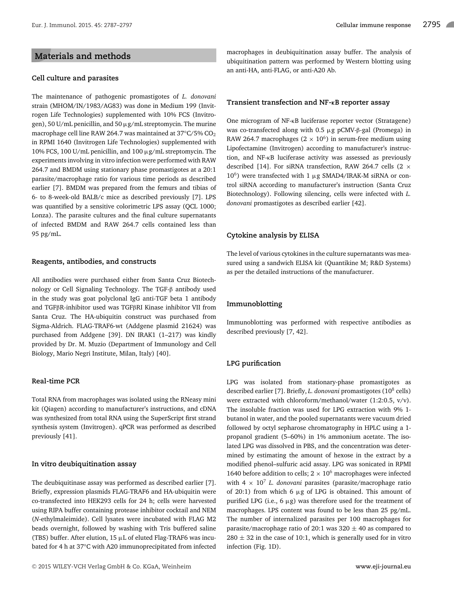# **Materials and methods**

#### **Cell culture and parasites**

The maintenance of pathogenic promastigotes of *L. donovani* strain (MHOM/IN/1983/AG83) was done in Medium 199 (Invitrogen Life Technologies) supplemented with 10% FCS (Invitrogen), 50 U/mL penicillin, and 50  $\mu$ g/mL streptomycin. The murine macrophage cell line RAW 264.7 was maintained at  $37^{\circ}$ C/5% CO<sub>2</sub> in RPMI 1640 (Invitrogen Life Technologies) supplemented with 10% FCS, 100 U/mL penicillin, and 100 µg/mL streptomycin. The experiments involving in vitro infection were performed with RAW 264.7 and BMDM using stationary phase promastigotes at a 20:1 parasite/macrophage ratio for various time periods as described earlier [7]. BMDM was prepared from the femurs and tibias of 6- to 8-week-old BALB/c mice as described previously [7]. LPS was quantified by a sensitive colorimetric LPS assay (QCL 1000; Lonza). The parasite cultures and the final culture supernatants of infected BMDM and RAW 264.7 cells contained less than 95 pg/mL.

#### **Reagents, antibodies, and constructs**

All antibodies were purchased either from Santa Cruz Biotechnology or Cell Signaling Technology. The TGF-β antibody used in the study was goat polyclonal IgG anti-TGF beta 1 antibody and TGFβR-inhibitor used was TGFβRI Kinase inhibitor VII from Santa Cruz. The HA-ubiquitin construct was purchased from Sigma-Aldrich. FLAG-TRAF6-wt (Addgene plasmid 21624) was purchased from Addgene [39]. DN IRAK1 (1–217) was kindly provided by Dr. M. Muzio (Department of Immunology and Cell Biology, Mario Negri Institute, Milan, Italy) [40].

#### **Real-time PCR**

Total RNA from macrophages was isolated using the RNeasy mini kit (Qiagen) according to manufacturer's instructions, and cDNA was synthesized from total RNA using the SuperScript first strand synthesis system (Invitrogen). qPCR was performed as described previously [41].

#### **In vitro deubiquitination assay**

The deubiquitinase assay was performed as described earlier [7]. Briefly, expression plasmids FLAG-TRAF6 and HA-ubiquitin were co-transfected into HEK293 cells for 24 h; cells were harvested using RIPA buffer containing protease inhibitor cocktail and NEM (*N*-ethylmaleimide). Cell lysates were incubated with FLAG M2 beads overnight, followed by washing with Tris buffered saline (TBS) buffer. After elution,  $15 \mu L$  of eluted Flag-TRAF6 was incubated for 4 h at 37°C with A20 immunoprecipitated from infected

macrophages in deubiquitination assay buffer. The analysis of ubiquitination pattern was performed by Western blotting using an anti-HA, anti-FLAG, or anti-A20 Ab.

#### **Transient transfection and NF-**κ**B reporter assay**

One microgram of NF-κB luciferase reporter vector (Stratagene) was co-transfected along with 0.5 µg pCMV-β-gal (Promega) in RAW 264.7 macrophages ( $2 \times 10^6$ ) in serum-free medium using Lipofectamine (Invitrogen) according to manufacturer's instruction, and NF-κB luciferase activity was assessed as previously described [14]. For siRNA transfection, RAW 264.7 cells (2  $\times$  $10<sup>6</sup>$ ) were transfected with 1  $\mu$ g SMAD4/IRAK-M siRNA or control siRNA according to manufacturer's instruction (Santa Cruz Biotechnology). Following silencing, cells were infected with *L. donovani* promastigotes as described earlier [42].

#### **Cytokine analysis by ELISA**

The level of various cytokines in the culture supernatants was measured using a sandwich ELISA kit (Quantikine M; R&D Systems) as per the detailed instructions of the manufacturer.

#### **Immunoblotting**

Immunoblotting was performed with respective antibodies as described previously [7, 42].

#### **LPG purification**

LPG was isolated from stationary-phase promastigotes as described earlier [7]. Briefly, *L. donovani* promastigotes (10<sup>8</sup> cells) were extracted with chloroform/methanol/water (1:2:0.5, v/v). The insoluble fraction was used for LPG extraction with 9% 1 butanol in water, and the pooled supernatants were vacuum dried followed by octyl sepharose chromatography in HPLC using a 1 propanol gradient (5–60%) in 1% ammonium acetate. The isolated LPG was dissolved in PBS, and the concentration was determined by estimating the amount of hexose in the extract by a modified phenol–sulfuric acid assay. LPG was sonicated in RPMI 1640 before addition to cells;  $2 \times 10^6$  macrophages were infected with  $4 \times 10^7$  *L. donovani* parasites (parasite/macrophage ratio of 20:1) from which 6  $\mu$ g of LPG is obtained. This amount of purified LPG (i.e.,  $6 \mu g$ ) was therefore used for the treatment of macrophages. LPS content was found to be less than 25 pg/mL. The number of internalized parasites per 100 macrophages for parasite/macrophage ratio of 20:1 was  $320 \pm 40$  as compared to  $280 \pm 32$  in the case of 10:1, which is generally used for in vitro infection (Fig. 1D).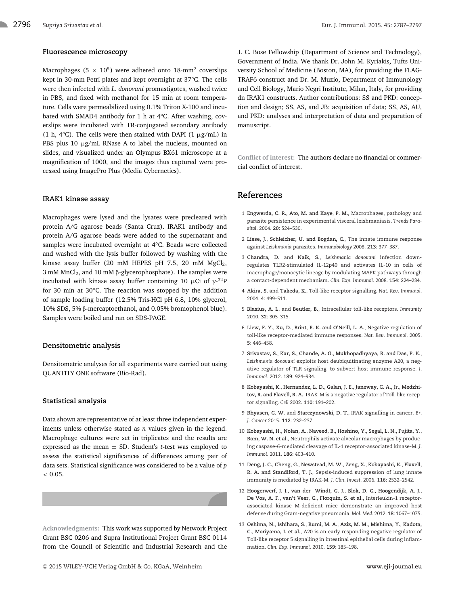## **Fluorescence microscopy**

Macrophages (5  $\times$  10<sup>5</sup>) were adhered onto 18-mm<sup>2</sup> coverslips kept in 30-mm Petri plates and kept overnight at 37°C. The cells were then infected with *L. donovani* promastigotes, washed twice in PBS, and fixed with methanol for 15 min at room temperature. Cells were permeabilized using 0.1% Triton X-100 and incubated with SMAD4 antibody for 1 h at 4°C. After washing, coverslips were incubated with TR-conjugated secondary antibody (1 h, 4 $\degree$ C). The cells were then stained with DAPI (1  $\mu$ g/mL) in PBS plus 10  $\mu$ g/mL RNase A to label the nucleus, mounted on slides, and visualized under an Olympus BX61 microscope at a magnification of 1000, and the images thus captured were processed using ImagePro Plus (Media Cybernetics).

#### **IRAK1 kinase assay**

Macrophages were lysed and the lysates were precleared with protein A/G agarose beads (Santa Cruz). IRAK1 antibody and protein A/G agarose beads were added to the supernatant and samples were incubated overnight at 4°C. Beads were collected and washed with the lysis buffer followed by washing with the kinase assay buffer (20 mM HEPES pH 7.5, 20 mM  $MgCl<sub>2</sub>$ , 3 mM MnCl<sub>2</sub>, and 10 mM β-glycerophosphate). The samples were incubated with kinase assay buffer containing 10  $\mu$ Ci of  $\gamma$ -<sup>32</sup>P for 30 min at 30°C. The reaction was stopped by the addition of sample loading buffer (12.5% Tris-HCl pH 6.8, 10% glycerol, 10% SDS, 5% β-mercaptoethanol, and 0.05% bromophenol blue). Samples were boiled and ran on SDS-PAGE.

#### **Densitometric analysis**

Densitometric analyses for all experiments were carried out using QUANTITY ONE software (Bio-Rad).

#### **Statistical analysis**

Data shown are representative of at least three independent experiments unless otherwise stated as *n* values given in the legend. Macrophage cultures were set in triplicates and the results are expressed as the mean ± SD. Student's *t*-test was employed to assess the statistical significances of differences among pair of data sets. Statistical significance was considered to be a value of *p*  $< 0.05$ .

**Acknowledgments:** This work was supported by Network Project Grant BSC 0206 and Supra Institutional Project Grant BSC 0114 from the Council of Scientific and Industrial Research and the J. C. Bose Fellowship (Department of Science and Technology), Government of India. We thank Dr. John M. Kyriakis, Tufts University School of Medicine (Boston, MA), for providing the FLAG-TRAF6 construct and Dr. M. Muzio, Department of Immunology and Cell Biology, Mario Negri Institute, Milan, Italy, for providing dn IRAK1 constructs. Author contributions: SS and PKD: conception and design; SS, AS, and JB: acquisition of data; SS, AS, AU, and PKD: analyses and interpretation of data and preparation of manuscript.

**Conflict of interest:** The authors declare no financial or commercial conflict of interest.

# **References**

- 1 **Engwerda, C. R.**, **Ato**, **M. and Kaye**, **P. M.**, Macrophages, pathology and parasite persistence in experimental visceral leishmaniasis. *Trends Parasitol*. 2004. **20**: 524–530.
- 2 **Liese, J.**, **Schleicher, U. and Bogdan, C.**, The innate immune response against *Leishmania* parasites. *Immunobiology* 2008. **213**: 377–387.
- 3 **Chandra, D.** and **Naik, S.**, *Leishmania donovani* infection downregulates TLR2-stimulated IL-12p40 and activates IL-10 in cells of macrophage/monocytic lineage by modulating MAPK pathways through a contact-dependent mechanism. *Clin. Exp. Immunol.* 2008. **154**: 224–234.
- 4 **Akira, S.** and **Takeda, K.**, Toll-like receptor signalling. *Nat. Rev. Immunol.* 2004. **4**: 499–511.
- 5 **Blasius, A. L.** and **Beutler, B.**, Intracellular toll-like receptors. *Immunity* 2010. **32**: 305–315.
- 6 **Liew, F. Y.**, **Xu, D.**, **Brint, E. K. and O'Neill, L. A.**, Negative regulation of toll-like receptor-mediated immune responses. *Nat. Rev. Immunol.* 2005. **5**: 446–458.
- 7 **Srivastav, S.**, **Kar, S.**, **Chande, A. G.**, **Mukhopadhyaya, R. and Das, P. K.**, *Leishmania donovani* exploits host deubiquitinating enzyme A20, a negative regulator of TLR signaling, to subvert host immune response. *J. Immunol.* 2012. **189**: 924–934.
- 8 **Kobayashi, K.**, **Hernandez, L. D.**, **Galan, J. E.**, **Janeway, C. A., Jr.**, **Medzhitov, R. and Flavell, R. A.**, IRAK-M is a negative regulator of Toll-like receptor signaling. *Cell* 2002. **110**: 191–202.
- 9 **Rhyasen, G. W.** and **Starczynowski, D. T.**, IRAK signalling in cancer. *Br. J. Cancer* 2015. **112**: 232–237.
- 10 **Kobayashi, H.**, **Nolan, A.**, **Naveed, B.**, **Hoshino, Y.**, **Segal, L. N.**, **Fujita, Y.**, **Rom, W. N. et al.**, Neutrophils activate alveolar macrophages by producing caspase-6-mediated cleavage of IL-1 receptor-associated kinase-M. *J. Immunol.* 2011. **186**: 403–410.
- 11 **Deng, J. C.**, **Cheng, G.**, **Newstead, M. W.**, **Zeng, X.**, **Kobayashi, K.**, **Flavell, R. A. and Standiford, T. J.**, Sepsis-induced suppression of lung innate immunity is mediated by IRAK-M. *J. Clin. Invest.* 2006. **116**: 2532–2542.
- 12 **Hoogerwerf, J. J.**, **van der Windt, G. J.**, **Blok, D. C.**, **Hoogendijk, A. J.**, **De Vos, A. F.**, **van't Veer, C.**, **Florquin, S. et al.**, Interleukin-1 receptorassociated kinase M-deficient mice demonstrate an improved host defense during Gram-negative pneumonia. *Mol. Med.* 2012. **18**: 1067–1075.
- 13 **Oshima, N.**, **Ishihara, S.**, **Rumi, M. A.**, **Aziz, M. M.**, **Mishima, Y.**, **Kadota, C.**, **Moriyama, I. et al.**, A20 is an early responding negative regulator of Toll-like receptor 5 signalling in intestinal epithelial cells during inflammation. *Clin. Exp. Immunol.* 2010. **159**: 185–198.